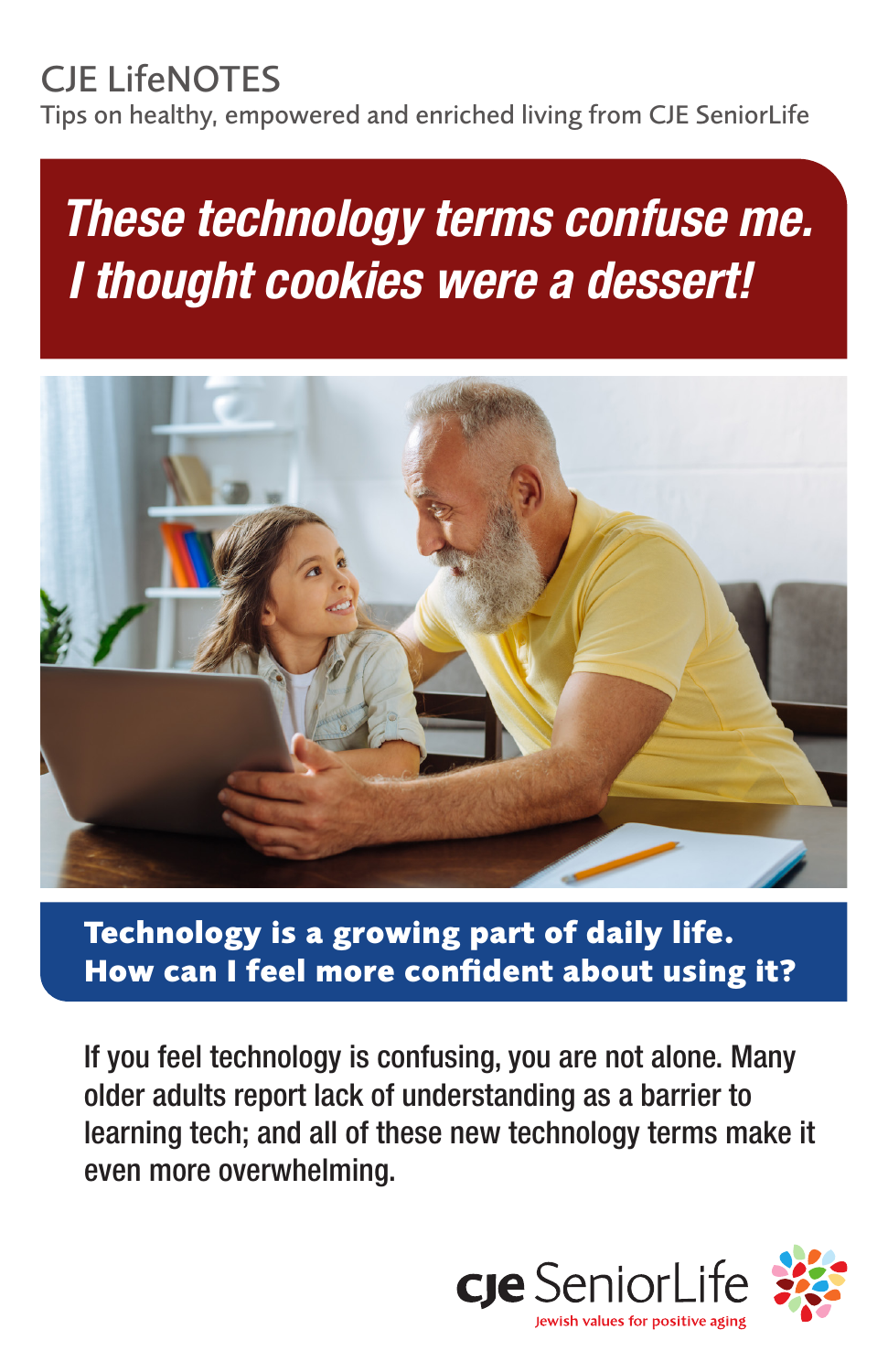# CJE LifeNOTES

Tips on healthy, empowered and enriched living from CJE SeniorLife

# *These technology terms confuse me. I thought cookies were a dessert!*



**Technology is a growing part of daily life. How can I feel more confident about using it?**

If you feel technology is confusing, you are not alone. Many older adults report lack of understanding as a barrier to learning tech; and all of these new technology terms make it even more overwhelming.

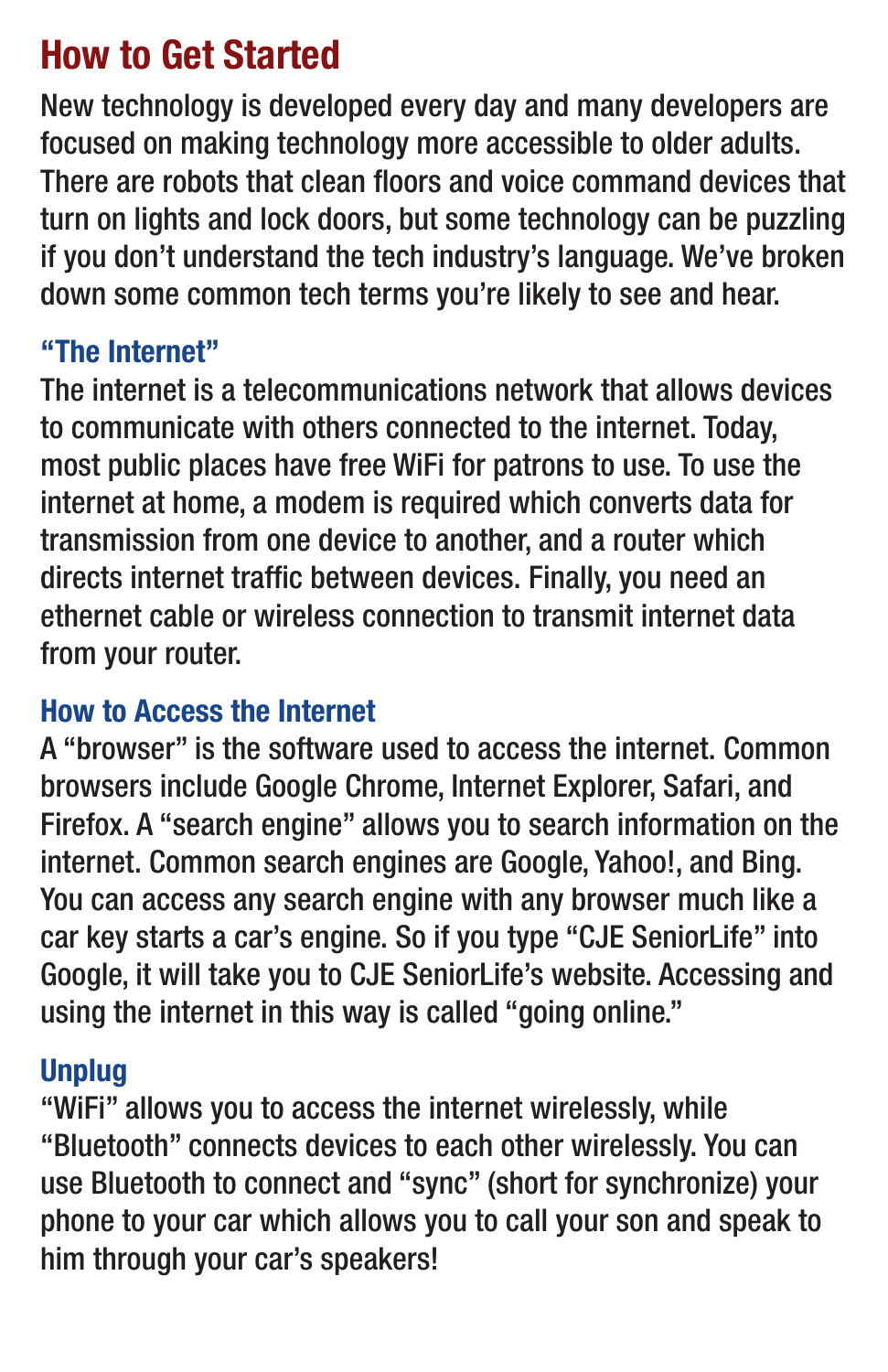## How to Get Started

New technology is developed every day and many developers are focused on making technology more accessible to older adults. There are robots that clean floors and voice command devices that turn on lights and lock doors, but some technology can be puzzling if you don't understand the tech industry's language. We've broken down some common tech terms you're likely to see and hear.

#### "The Internet"

The internet is a telecommunications network that allows devices to communicate with others connected to the internet. Today, most public places have free WiFi for patrons to use. To use the internet at home, a modem is required which converts data for transmission from one device to another, and a router which directs internet traffic between devices. Finally, you need an ethernet cable or wireless connection to transmit internet data from your router.

#### How to Access the Internet

A "browser" is the software used to access the internet. Common browsers include Google Chrome, Internet Explorer, Safari, and Firefox. A "search engine" allows you to search information on the internet. Common search engines are Google, Yahoo!, and Bing. You can access any search engine with any browser much like a car key starts a car's engine. So if you type "CJE SeniorLife" into Google, it will take you to CJE SeniorLife's website. Accessing and using the internet in this way is called "going online."

#### Unplug

"WiFi" allows you to access the internet wirelessly, while "Bluetooth" connects devices to each other wirelessly. You can use Bluetooth to connect and "sync" (short for synchronize) your phone to your car which allows you to call your son and speak to him through your car's speakers!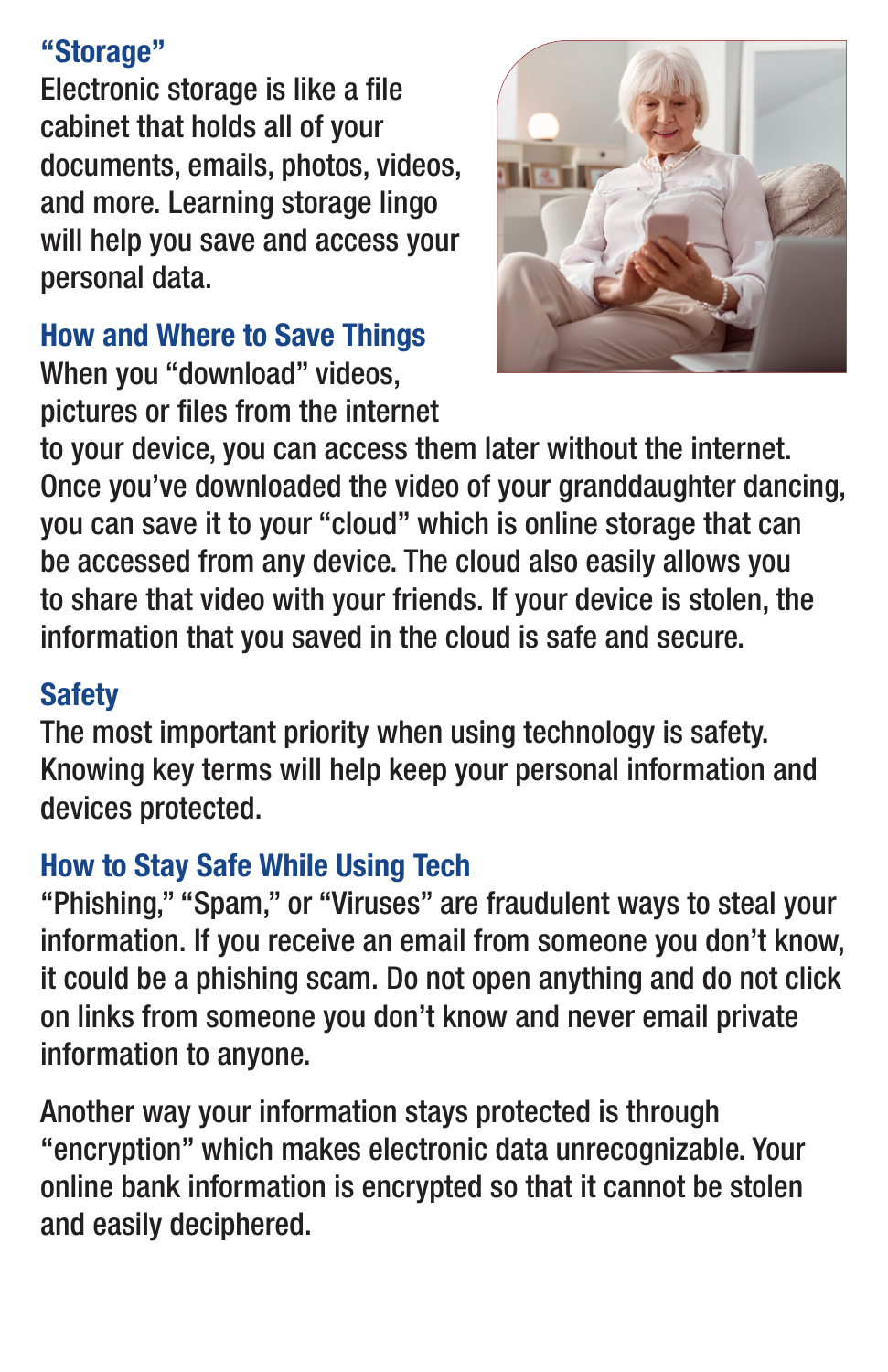#### "Storage"

Electronic storage is like a file cabinet that holds all of your documents, emails, photos, videos, and more. Learning storage lingo will help you save and access your personal data.

#### How and Where to Save Things

When you "download" videos, pictures or files from the internet



to your device, you can access them later without the internet. Once you've downloaded the video of your granddaughter dancing, you can save it to your "cloud" which is online storage that can be accessed from any device. The cloud also easily allows you to share that video with your friends. If your device is stolen, the information that you saved in the cloud is safe and secure.

#### **Safety**

The most important priority when using technology is safety. Knowing key terms will help keep your personal information and devices protected.

### How to Stay Safe While Using Tech

"Phishing," "Spam," or "Viruses" are fraudulent ways to steal your information. If you receive an email from someone you don't know, it could be a phishing scam. Do not open anything and do not click on links from someone you don't know and never email private information to anyone.

Another way your information stays protected is through "encryption" which makes electronic data unrecognizable. Your online bank information is encrypted so that it cannot be stolen and easily deciphered.